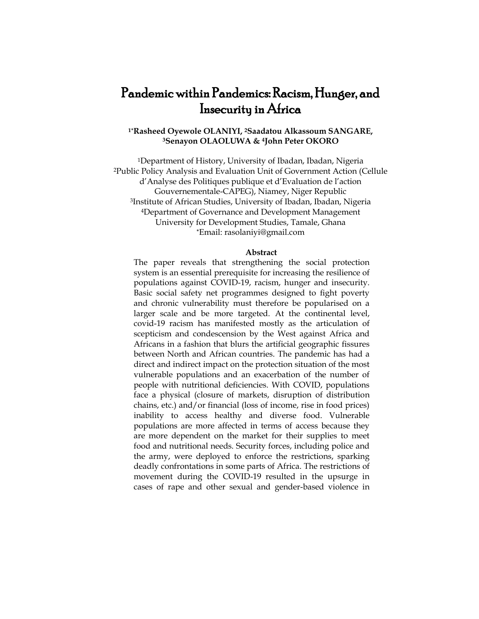# Pandemic within Pandemics: Racism, Hunger, and Insecurity in Africa

## **1\*Rasheed Oyewole OLANIYI, 2Saadatou Alkassoum SANGARE, <sup>3</sup>Senayon OLAOLUWA & 4John Peter OKORO**

<sup>1</sup>Department of History, University of Ibadan, Ibadan, Nigeria <sup>2</sup>Public Policy Analysis and Evaluation Unit of Government Action (Cellule d'Analyse des Politiques publique et d'Evaluation de l'action Gouvernementale-CAPEG), Niamey, Niger Republic <sup>3</sup>Institute of African Studies, University of Ibadan, Ibadan, Nigeria <sup>4</sup>Department of Governance and Development Management University for Development Studies, Tamale, Ghana **\***Email: [rasolaniyi@gmail.com](mailto:rasolaniyi@gmail.com)

#### **Abstract**

The paper reveals that strengthening the social protection system is an essential prerequisite for increasing the resilience of populations against COVID-19, racism, hunger and insecurity. Basic social safety net programmes designed to fight poverty and chronic vulnerability must therefore be popularised on a larger scale and be more targeted. At the continental level, covid-19 racism has manifested mostly as the articulation of scepticism and condescension by the West against Africa and Africans in a fashion that blurs the artificial geographic fissures between North and African countries. The pandemic has had a direct and indirect impact on the protection situation of the most vulnerable populations and an exacerbation of the number of people with nutritional deficiencies. With COVID, populations face a physical (closure of markets, disruption of distribution chains, etc.) and/or financial (loss of income, rise in food prices) inability to access healthy and diverse food. Vulnerable populations are more affected in terms of access because they are more dependent on the market for their supplies to meet food and nutritional needs. Security forces, including police and the army, were deployed to enforce the restrictions, sparking deadly confrontations in some parts of Africa. The restrictions of movement during the COVID-19 resulted in the upsurge in cases of rape and other sexual and gender-based violence in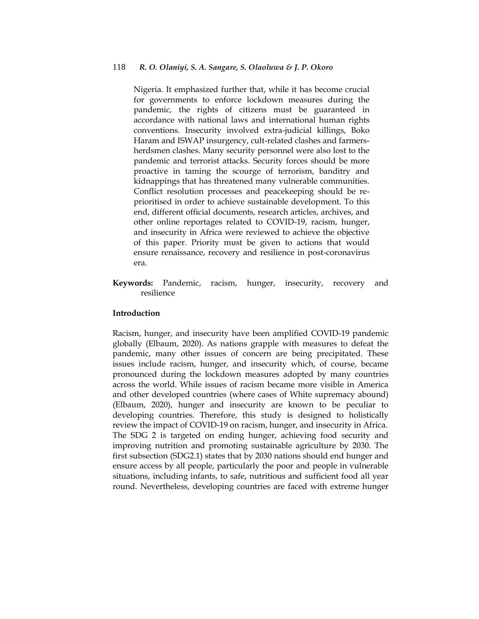#### 118 *R. O. Olaniyi, S. A. Sangare, S. Olaoluwa & J. P. Okoro*

Nigeria. It emphasized further that, while it has become crucial for governments to enforce lockdown measures during the pandemic, the rights of citizens must be guaranteed in accordance with national laws and international human rights conventions. Insecurity involved extra-judicial killings, Boko Haram and ISWAP insurgency, cult-related clashes and farmersherdsmen clashes. Many security personnel were also lost to the pandemic and terrorist attacks. Security forces should be more proactive in taming the scourge of terrorism, banditry and kidnappings that has threatened many vulnerable communities. Conflict resolution processes and peacekeeping should be reprioritised in order to achieve sustainable development. To this end, different official documents, research articles, archives, and other online reportages related to COVID-19, racism, hunger, and insecurity in Africa were reviewed to achieve the objective of this paper. Priority must be given to actions that would ensure renaissance, recovery and resilience in post-coronavirus era.

**Keywords:** Pandemic, racism, hunger, insecurity, recovery and resilience

## **Introduction**

Racism, hunger, and insecurity have been amplified COVID-19 pandemic globally (Elbaum, 2020). As nations grapple with measures to defeat the pandemic, many other issues of concern are being precipitated. These issues include racism, hunger, and insecurity which, of course, became pronounced during the lockdown measures adopted by many countries across the world. While issues of racism became more visible in America and other developed countries (where cases of White supremacy abound) (Elbaum, 2020), hunger and insecurity are known to be peculiar to developing countries. Therefore, this study is designed to holistically review the impact of COVID-19 on racism, hunger, and insecurity in Africa. The SDG 2 is targeted on ending hunger, achieving food security and improving nutrition and promoting sustainable agriculture by 2030. The first subsection (SDG2.1) states that by 2030 nations should end hunger and ensure access by all people, particularly the poor and people in vulnerable situations, including infants, to safe, nutritious and sufficient food all year round. Nevertheless, developing countries are faced with extreme hunger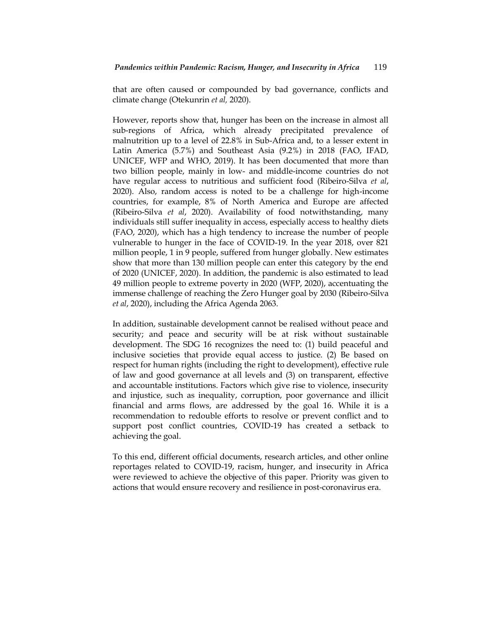that are often caused or compounded by bad governance, conflicts and climate change (Otekunrin *et al,* 2020).

However, reports show that, hunger has been on the increase in almost all sub-regions of Africa, which already precipitated prevalence of malnutrition up to a level of 22.8% in Sub-Africa and, to a lesser extent in Latin America (5.7%) and Southeast Asia (9.2%) in 2018 (FAO, IFAD, UNICEF, WFP and WHO, 2019). It has been documented that more than two billion people, mainly in low- and middle-income countries do not have regular access to nutritious and sufficient food (Ribeiro-Silva *et al*, 2020). Also, random access is noted to be a challenge for high-income countries, for example, 8% of North America and Europe are affected (Ribeiro-Silva *et al*, 2020). Availability of food notwithstanding, many individuals still suffer inequality in access, especially access to healthy diets (FAO, 2020), which has a high tendency to increase the number of people vulnerable to hunger in the face of COVID-19. In the year 2018, over 821 million people, 1 in 9 people, suffered from hunger globally. New estimates show that more than 130 million people can enter this category by the end of 2020 (UNICEF, 2020). In addition, the pandemic is also estimated to lead 49 million people to extreme poverty in 2020 (WFP, 2020), accentuating the immense challenge of reaching the Zero Hunger goal by 2030 (Ribeiro-Silva *et al*, 2020), including the Africa Agenda 2063.

In addition, sustainable development cannot be realised without peace and security; and peace and security will be at risk without sustainable development. The SDG 16 recognizes the need to: (1) build peaceful and inclusive societies that provide equal access to justice. (2) Be based on respect for human rights (including the right to development), effective rule of law and good governance at all levels and (3) on transparent, effective and accountable institutions. Factors which give rise to violence, insecurity and injustice, such as inequality, corruption, poor governance and illicit financial and arms flows, are addressed by the goal 16. While it is a recommendation to redouble efforts to resolve or prevent conflict and to support post conflict countries, COVID-19 has created a setback to achieving the goal.

To this end, different official documents, research articles, and other online reportages related to COVID-19, racism, hunger, and insecurity in Africa were reviewed to achieve the objective of this paper. Priority was given to actions that would ensure recovery and resilience in post-coronavirus era.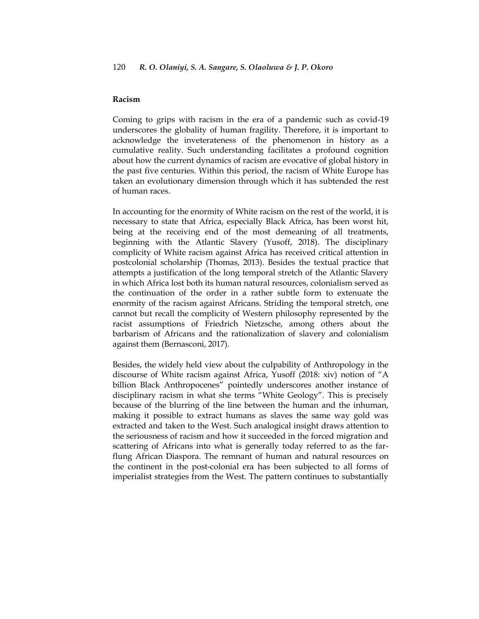#### **Racism**

Coming to grips with racism in the era of a pandemic such as covid-19 underscores the globality of human fragility. Therefore, it is important to acknowledge the inveterateness of the phenomenon in history as a cumulative reality. Such understanding facilitates a profound cognition about how the current dynamics of racism are evocative of global history in the past five centuries. Within this period, the racism of White Europe has taken an evolutionary dimension through which it has subtended the rest of human races.

In accounting for the enormity of White racism on the rest of the world, it is necessary to state that Africa, especially Black Africa, has been worst hit, being at the receiving end of the most demeaning of all treatments, beginning with the Atlantic Slavery (Yusoff, 2018). The disciplinary complicity of White racism against Africa has received critical attention in postcolonial scholarship (Thomas, 2013). Besides the textual practice that attempts a justification of the long temporal stretch of the Atlantic Slavery in which Africa lost both its human natural resources, colonialism served as the continuation of the order in a rather subtle form to extenuate the enormity of the racism against Africans. Striding the temporal stretch, one cannot but recall the complicity of Western philosophy represented by the racist assumptions of Friedrich Nietzsche, among others about the barbarism of Africans and the rationalization of slavery and colonialism against them (Bernasconi, 2017).

Besides, the widely held view about the culpability of Anthropology in the discourse of White racism against Africa, Yusoff (2018: xiv) notion of "A billion Black Anthropocenes" pointedly underscores another instance of disciplinary racism in what she terms "White Geology". This is precisely because of the blurring of the line between the human and the inhuman, making it possible to extract humans as slaves the same way gold was extracted and taken to the West. Such analogical insight draws attention to the seriousness of racism and how it succeeded in the forced migration and scattering of Africans into what is generally today referred to as the farflung African Diaspora. The remnant of human and natural resources on the continent in the post-colonial era has been subjected to all forms of imperialist strategies from the West. The pattern continues to substantially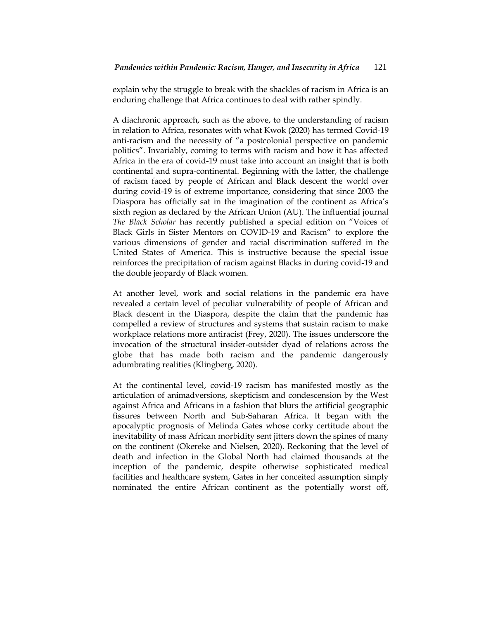explain why the struggle to break with the shackles of racism in Africa is an enduring challenge that Africa continues to deal with rather spindly.

A diachronic approach, such as the above, to the understanding of racism in relation to Africa, resonates with what Kwok (2020) has termed Covid-19 anti-racism and the necessity of "a postcolonial perspective on pandemic politics". Invariably, coming to terms with racism and how it has affected Africa in the era of covid-19 must take into account an insight that is both continental and supra-continental. Beginning with the latter, the challenge of racism faced by people of African and Black descent the world over during covid-19 is of extreme importance, considering that since 2003 the Diaspora has officially sat in the imagination of the continent as Africa's sixth region as declared by the African Union (AU). The influential journal *The Black Scholar* has recently published a special edition on "Voices of Black Girls in Sister Mentors on COVID-19 and Racism" to explore the various dimensions of gender and racial discrimination suffered in the United States of America. This is instructive because the special issue reinforces the precipitation of racism against Blacks in during covid-19 and the double jeopardy of Black women.

At another level, work and social relations in the pandemic era have revealed a certain level of peculiar vulnerability of people of African and Black descent in the Diaspora, despite the claim that the pandemic has compelled a review of structures and systems that sustain racism to make workplace relations more antiracist (Frey, 2020). The issues underscore the invocation of the structural insider-outsider dyad of relations across the globe that has made both racism and the pandemic dangerously adumbrating realities (Klingberg, 2020).

At the continental level, covid-19 racism has manifested mostly as the articulation of animadversions, skepticism and condescension by the West against Africa and Africans in a fashion that blurs the artificial geographic fissures between North and Sub-Saharan Africa. It began with the apocalyptic prognosis of Melinda Gates whose corky certitude about the inevitability of mass African morbidity sent jitters down the spines of many on the continent (Okereke and Nielsen, 2020). Reckoning that the level of death and infection in the Global North had claimed thousands at the inception of the pandemic, despite otherwise sophisticated medical facilities and healthcare system, Gates in her conceited assumption simply nominated the entire African continent as the potentially worst off,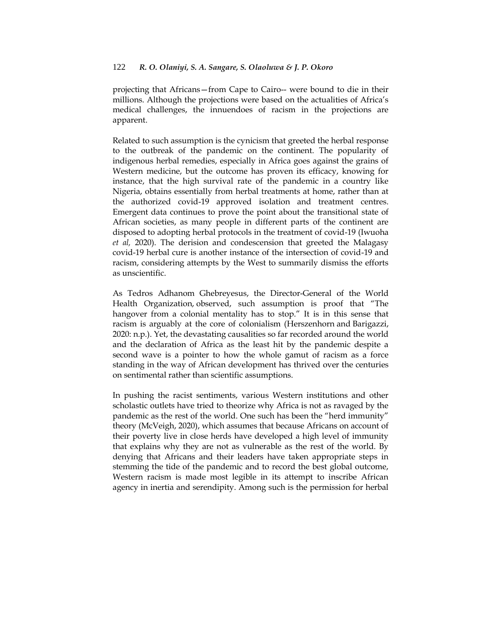projecting that Africans—from Cape to Cairo-- were bound to die in their millions. Although the projections were based on the actualities of Africa's medical challenges, the innuendoes of racism in the projections are apparent.

Related to such assumption is the cynicism that greeted the herbal response to the outbreak of the pandemic on the continent. The popularity of indigenous herbal remedies, especially in Africa goes against the grains of Western medicine, but the outcome has proven its efficacy, knowing for instance, that the high survival rate of the pandemic in a country like Nigeria, obtains essentially from herbal treatments at home, rather than at the authorized covid-19 approved isolation and treatment centres. Emergent data continues to prove the point about the transitional state of African societies, as many people in different parts of the continent are disposed to adopting herbal protocols in the treatment of covid-19 (Iwuoha *et al,* 2020). The derision and condescension that greeted the Malagasy covid-19 herbal cure is another instance of the intersection of covid-19 and racism, considering attempts by the West to summarily dismiss the efforts as unscientific.

As Tedros Adhanom Ghebreyesus, the Director-General of the World Health Organization, observed, such assumption is proof that "The hangover from a colonial mentality has to stop." It is in this sense that racism is arguably at the core of colonialism (Herszenhorn and [Barigazzi,](https://www.politico.eu/author/jacopo-barigazzi/) 2020: n.p.). Yet, the devastating causalities so far recorded around the world and the declaration of Africa as the least hit by the pandemic despite a second wave is a pointer to how the whole gamut of racism as a force standing in the way of African development has thrived over the centuries on sentimental rather than scientific assumptions.

In pushing the racist sentiments, various Western institutions and other scholastic outlets have tried to theorize why Africa is not as ravaged by the pandemic as the rest of the world. One such has been the "herd immunity" theory (McVeigh, 2020), which assumes that because Africans on account of their poverty live in close herds have developed a high level of immunity that explains why they are not as vulnerable as the rest of the world. By denying that Africans and their leaders have taken appropriate steps in stemming the tide of the pandemic and to record the best global outcome, Western racism is made most legible in its attempt to inscribe African agency in inertia and serendipity. Among such is the permission for herbal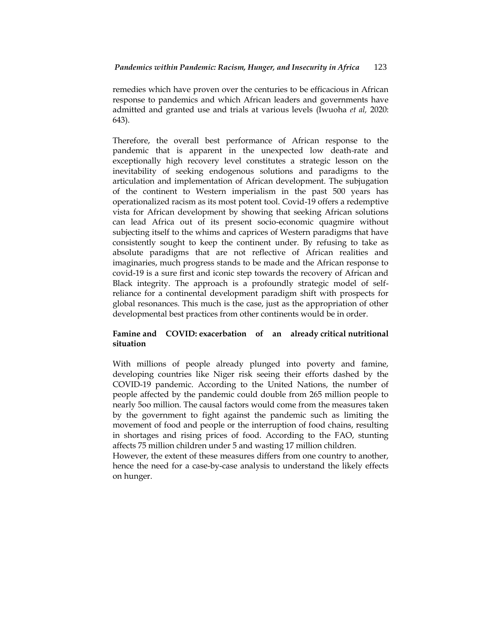remedies which have proven over the centuries to be efficacious in African response to pandemics and which African leaders and governments have admitted and granted use and trials at various levels (Iwuoha *et al,* 2020: 643).

Therefore, the overall best performance of African response to the pandemic that is apparent in the unexpected low death-rate and exceptionally high recovery level constitutes a strategic lesson on the inevitability of seeking endogenous solutions and paradigms to the articulation and implementation of African development. The subjugation of the continent to Western imperialism in the past 500 years has operationalized racism as its most potent tool. Covid-19 offers a redemptive vista for African development by showing that seeking African solutions can lead Africa out of its present socio-economic quagmire without subjecting itself to the whims and caprices of Western paradigms that have consistently sought to keep the continent under. By refusing to take as absolute paradigms that are not reflective of African realities and imaginaries, much progress stands to be made and the African response to covid-19 is a sure first and iconic step towards the recovery of African and Black integrity. The approach is a profoundly strategic model of selfreliance for a continental development paradigm shift with prospects for global resonances. This much is the case, just as the appropriation of other developmental best practices from other continents would be in order.

## **Famine and COVID: exacerbation of an already critical nutritional situation**

With millions of people already plunged into poverty and famine, developing countries like Niger risk seeing their efforts dashed by the COVID-19 pandemic. According to the United Nations, the number of people affected by the pandemic could double from 265 million people to nearly 5oo million. The causal factors would come from the measures taken by the government to fight against the pandemic such as limiting the movement of food and people or the interruption of food chains, resulting in shortages and rising prices of food. According to the FAO, stunting affects 75 million children under 5 and wasting 17 million children.

However, the extent of these measures differs from one country to another, hence the need for a case-by-case analysis to understand the likely effects on hunger.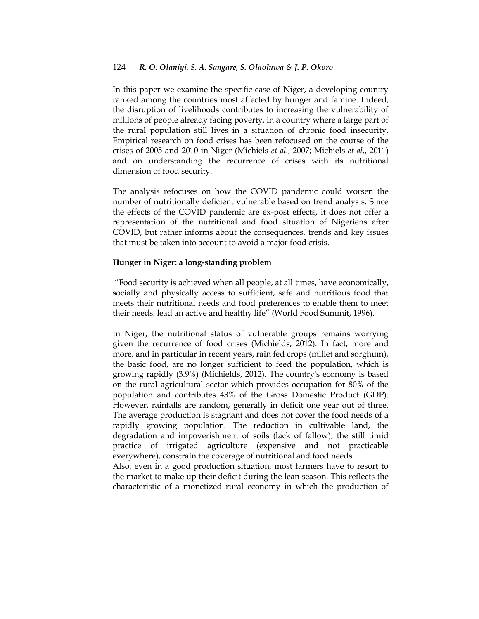In this paper we examine the specific case of Niger, a developing country ranked among the countries most affected by hunger and famine. Indeed, the disruption of livelihoods contributes to increasing the vulnerability of millions of people already facing poverty, in a country where a large part of the rural population still lives in a situation of chronic food insecurity. Empirical research on food crises has been refocused on the course of the crises of 2005 and 2010 in Niger (Michiels *et al*., 2007; Michiels *et al*., 2011) and on understanding the recurrence of crises with its nutritional dimension of food security.

The analysis refocuses on how the COVID pandemic could worsen the number of nutritionally deficient vulnerable based on trend analysis. Since the effects of the COVID pandemic are ex-post effects, it does not offer a representation of the nutritional and food situation of Nigeriens after COVID, but rather informs about the consequences, trends and key issues that must be taken into account to avoid a major food crisis.

## **Hunger in Niger: a long-standing problem**

―Food security is achieved when all people, at all times, have economically, socially and physically access to sufficient, safe and nutritious food that meets their nutritional needs and food preferences to enable them to meet their needs. lead an active and healthy life" (World Food Summit, 1996).

In Niger, the nutritional status of vulnerable groups remains worrying given the recurrence of food crises (Michields, 2012). In fact, more and more, and in particular in recent years, rain fed crops (millet and sorghum), the basic food, are no longer sufficient to feed the population, which is growing rapidly (3.9%) (Michields, 2012). The country's economy is based on the rural agricultural sector which provides occupation for 80% of the population and contributes 43% of the Gross Domestic Product (GDP). However, rainfalls are random, generally in deficit one year out of three. The average production is stagnant and does not cover the food needs of a rapidly growing population. The reduction in cultivable land, the degradation and impoverishment of soils (lack of fallow), the still timid practice of irrigated agriculture (expensive and not practicable everywhere), constrain the coverage of nutritional and food needs.

Also, even in a good production situation, most farmers have to resort to the market to make up their deficit during the lean season. This reflects the characteristic of a monetized rural economy in which the production of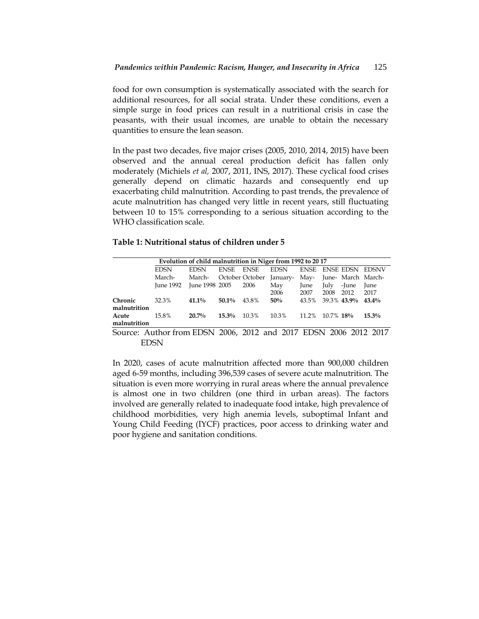food for own consumption is systematically associated with the search for additional resources, for all social strata. Under these conditions, even a simple surge in food prices can result in a nutritional crisis in case the peasants, with their usual incomes, are unable to obtain the necessary quantities to ensure the lean season.

In the past two decades, five major crises (2005, 2010, 2014, 2015) have been observed and the annual cereal production deficit has fallen only moderately (Michiels *et al,* 2007, 2011, INS, 2017). These cyclical food crises generally depend on climatic hazards and consequently end up exacerbating child malnutrition. According to past trends, the prevalence of acute malnutrition has changed very little in recent years, still fluctuating between 10 to 15% corresponding to a serious situation according to the WHO classification scale.

## **Table 1: Nutritional status of children under 5**

| Evolution of child malnutrition in Niger from 1992 to 2017 |                                                                  |                |             |                 |             |             |                    |       |                        |
|------------------------------------------------------------|------------------------------------------------------------------|----------------|-------------|-----------------|-------------|-------------|--------------------|-------|------------------------|
|                                                            | <b>EDSN</b>                                                      | <b>EDSN</b>    | <b>ENSE</b> | <b>ENSE</b>     | <b>EDSN</b> | <b>ENSE</b> |                    |       | <b>ENSE EDSN EDSNV</b> |
|                                                            | March-                                                           | March-         |             | October October | January-    | May-        | June- March March- |       |                        |
|                                                            | <b>Iune 1992</b>                                                 | June 1998 2005 |             | 2006            | May         | June        | July               | -June | June                   |
|                                                            |                                                                  |                |             |                 | 2006        | 2007        | 2008               | 2012  | 2017                   |
| Chronic                                                    | 32.3%                                                            | $41.1\%$       | $50.1\%$    | 43.8%           | 50%         | 43.5%       | 39.3% 43.9%        |       | $43.4\%$               |
| malnutrition                                               |                                                                  |                |             |                 |             |             |                    |       |                        |
| Acute                                                      | 15.8%                                                            | $20.7\%$       | 15.3%       | 10.3%           | 10.3%       |             | 11.2\% 10.7\% 18\% |       | $15.3\%$               |
| malnutrition                                               |                                                                  |                |             |                 |             |             |                    |       |                        |
|                                                            | Source: Author from EDSN 2006, 2012 and 2017 EDSN 2006 2012 2017 |                |             |                 |             |             |                    |       |                        |

EDSN

In 2020, cases of acute malnutrition affected more than 900,000 children aged 6-59 months, including 396,539 cases of severe acute malnutrition. The situation is even more worrying in rural areas where the annual prevalence is almost one in two children (one third in urban areas). The factors involved are generally related to inadequate food intake, high prevalence of childhood morbidities, very high anemia levels, suboptimal Infant and Young Child Feeding (IYCF) practices, poor access to drinking water and poor hygiene and sanitation conditions.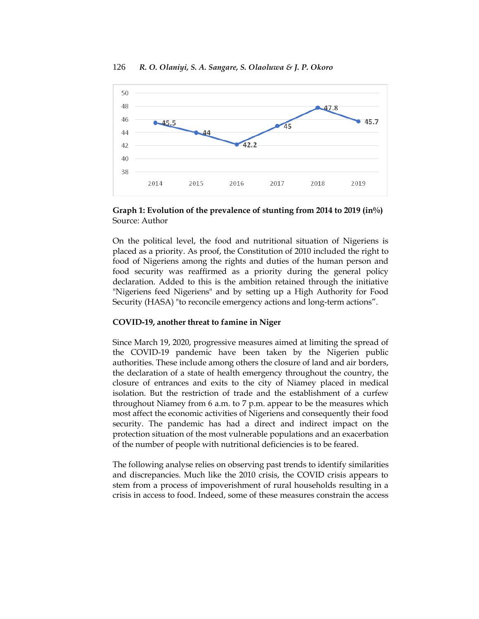



**Graph 1: Evolution of the prevalence of stunting from 2014 to 2019 (in%)** Source: Author

On the political level, the food and nutritional situation of Nigeriens is placed as a priority. As proof, the Constitution of 2010 included the right to food of Nigeriens among the rights and duties of the human person and food security was reaffirmed as a priority during the general policy declaration. Added to this is the ambition retained through the initiative "Nigeriens feed Nigeriens" and by setting up a High Authority for Food Security (HASA) "to reconcile emergency actions and long-term actions".

## **COVID-19, another threat to famine in Niger**

Since March 19, 2020, progressive measures aimed at limiting the spread of the COVID-19 pandemic have been taken by the Nigerien public authorities. These include among others the closure of land and air borders, the declaration of a state of health emergency throughout the country, the closure of entrances and exits to the city of Niamey placed in medical isolation. But the restriction of trade and the establishment of a curfew throughout Niamey from 6 a.m. to 7 p.m. appear to be the measures which most affect the economic activities of Nigeriens and consequently their food security. The pandemic has had a direct and indirect impact on the protection situation of the most vulnerable populations and an exacerbation of the number of people with nutritional deficiencies is to be feared.

The following analyse relies on observing past trends to identify similarities and discrepancies. Much like the 2010 crisis, the COVID crisis appears to stem from a process of impoverishment of rural households resulting in a crisis in access to food. Indeed, some of these measures constrain the access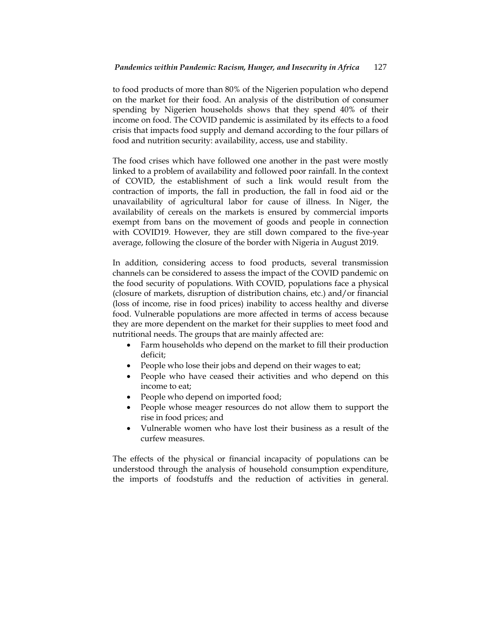to food products of more than 80% of the Nigerien population who depend on the market for their food. An analysis of the distribution of consumer spending by Nigerien households shows that they spend 40% of their income on food. The COVID pandemic is assimilated by its effects to a food crisis that impacts food supply and demand according to the four pillars of food and nutrition security: availability, access, use and stability.

The food crises which have followed one another in the past were mostly linked to a problem of availability and followed poor rainfall. In the context of COVID, the establishment of such a link would result from the contraction of imports, the fall in production, the fall in food aid or the unavailability of agricultural labor for cause of illness. In Niger, the availability of cereals on the markets is ensured by commercial imports exempt from bans on the movement of goods and people in connection with COVID19. However, they are still down compared to the five-year average, following the closure of the border with Nigeria in August 2019.

In addition, considering access to food products, several transmission channels can be considered to assess the impact of the COVID pandemic on the food security of populations. With COVID, populations face a physical (closure of markets, disruption of distribution chains, etc.) and/or financial (loss of income, rise in food prices) inability to access healthy and diverse food. Vulnerable populations are more affected in terms of access because they are more dependent on the market for their supplies to meet food and nutritional needs. The groups that are mainly affected are:

- Farm households who depend on the market to fill their production deficit;
- People who lose their jobs and depend on their wages to eat;
- People who have ceased their activities and who depend on this income to eat;
- People who depend on imported food;
- People whose meager resources do not allow them to support the rise in food prices; and
- Vulnerable women who have lost their business as a result of the curfew measures.

The effects of the physical or financial incapacity of populations can be understood through the analysis of household consumption expenditure, the imports of foodstuffs and the reduction of activities in general.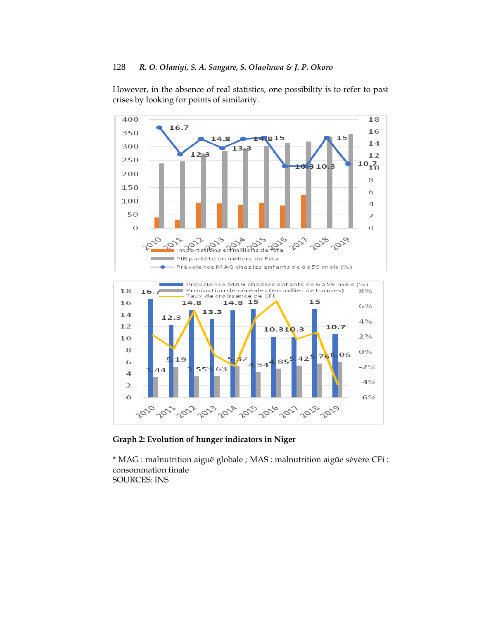However, in the absence of real statistics, one possibility is to refer to past crises by looking for points of similarity.



**Graph 2: Evolution of hunger indicators in Niger**

\* MAG : malnutrition aiguë globale ; MAS : malnutrition aigüe sévère CFi : consommation finale SOURCES: INS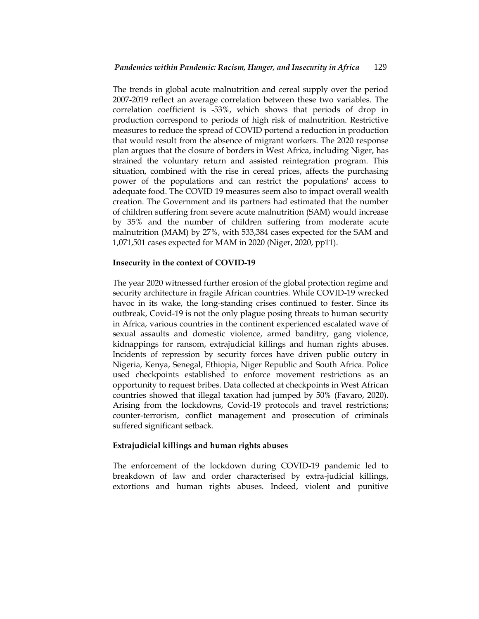The trends in global acute malnutrition and cereal supply over the period 2007-2019 reflect an average correlation between these two variables. The correlation coefficient is -53%, which shows that periods of drop in production correspond to periods of high risk of malnutrition. Restrictive measures to reduce the spread of COVID portend a reduction in production that would result from the absence of migrant workers. The 2020 response plan argues that the closure of borders in West Africa, including Niger, has strained the voluntary return and assisted reintegration program. This situation, combined with the rise in cereal prices, affects the purchasing power of the populations and can restrict the populations' access to adequate food. The COVID 19 measures seem also to impact overall wealth creation. The Government and its partners had estimated that the number of children suffering from severe acute malnutrition (SAM) would increase by 35% and the number of children suffering from moderate acute malnutrition (MAM) by 27%, with 533,384 cases expected for the SAM and 1,071,501 cases expected for MAM in 2020 (Niger, 2020, pp11).

## **Insecurity in the context of COVID-19**

The year 2020 witnessed further erosion of the global protection regime and security architecture in fragile African countries. While COVID-19 wrecked havoc in its wake, the long-standing crises continued to fester. Since its outbreak, Covid-19 is not the only plague posing threats to human security in Africa, various countries in the continent experienced escalated wave of sexual assaults and domestic violence, armed banditry, gang violence, kidnappings for ransom, extrajudicial killings and human rights abuses. Incidents of repression by security forces have driven public outcry in Nigeria, Kenya, Senegal, Ethiopia, Niger Republic and South Africa. Police used checkpoints established to enforce movement restrictions as an opportunity to request bribes. Data collected at checkpoints in West African countries showed that illegal taxation had jumped by 50% (Favaro, 2020). Arising from the lockdowns, Covid-19 protocols and travel restrictions; counter-terrorism, conflict management and prosecution of criminals suffered significant setback.

#### **Extrajudicial killings and human rights abuses**

The enforcement of the lockdown during COVID-19 pandemic led to breakdown of law and order characterised by extra-judicial killings, extortions and human rights abuses. Indeed, violent and punitive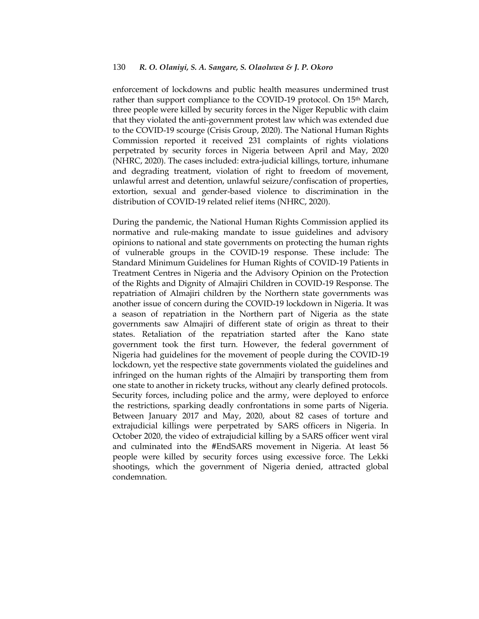enforcement of lockdowns and public health measures undermined trust rather than support compliance to the COVID-19 protocol. On 15th March, three people were killed by security forces in the Niger Republic with claim that they violated the anti-government protest law which was extended due to the COVID-19 scourge (Crisis Group, 2020). The National Human Rights Commission reported it received 231 complaints of rights violations perpetrated by security forces in Nigeria between April and May, 2020 (NHRC, 2020). The cases included: extra-judicial killings, torture, inhumane and degrading treatment, violation of right to freedom of movement, unlawful arrest and detention, unlawful seizure/confiscation of properties, extortion, sexual and gender-based violence to discrimination in the distribution of COVID-19 related relief items (NHRC, 2020).

During the pandemic, the National Human Rights Commission applied its normative and rule-making mandate to issue guidelines and advisory opinions to national and state governments on protecting the human rights of vulnerable groups in the COVID-19 response. These include: The Standard Minimum Guidelines for Human Rights of COVID-19 Patients in Treatment Centres in Nigeria and the Advisory Opinion on the Protection of the Rights and Dignity of Almajiri Children in COVID-19 Response. The repatriation of Almajiri children by the Northern state governments was another issue of concern during the COVID-19 lockdown in Nigeria. It was a season of repatriation in the Northern part of Nigeria as the state governments saw Almajiri of different state of origin as threat to their states. Retaliation of the repatriation started after the Kano state government took the first turn. However, the federal government of Nigeria had guidelines for the movement of people during the COVID-19 lockdown, yet the respective state governments violated the guidelines and infringed on the human rights of the Almajiri by transporting them from one state to another in rickety trucks, without any clearly defined protocols. Security forces, including police and the army, were deployed to enforce the restrictions, sparking deadly confrontations in some parts of Nigeria. Between January 2017 and May, 2020, about 82 cases of torture and extrajudicial killings were perpetrated by SARS officers in Nigeria. In October 2020, the video of extrajudicial killing by a SARS officer went viral and culminated into the #EndSARS movement in Nigeria. At least 56 people were killed by security forces using excessive force. The Lekki shootings, which the government of Nigeria denied, attracted global condemnation.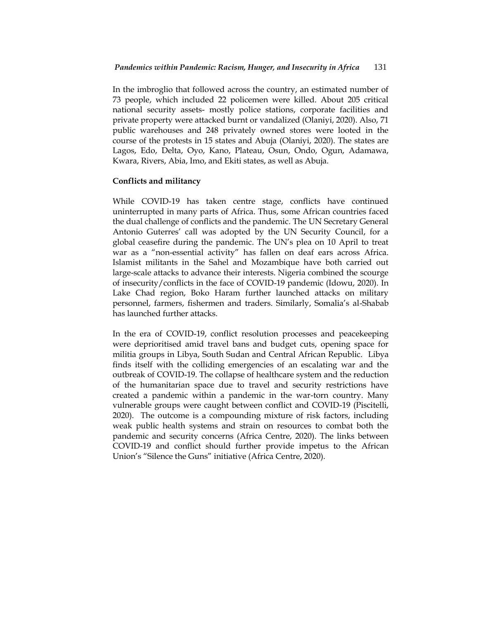In the imbroglio that followed across the country, an estimated number of 73 people, which included 22 policemen were killed. About 205 critical national security assets- mostly police stations, corporate facilities and private property were attacked burnt or vandalized (Olaniyi, 2020). Also, 71 public warehouses and 248 privately owned stores were looted in the course of the protests in 15 states and Abuja (Olaniyi, 2020). The states are Lagos, Edo, Delta, Oyo, Kano, Plateau, Osun, Ondo, Ogun, Adamawa, Kwara, Rivers, Abia, Imo, and Ekiti states, as well as Abuja.

## **Conflicts and militancy**

While COVID-19 has taken centre stage, conflicts have continued uninterrupted in many parts of Africa. Thus, some African countries faced the dual challenge of conflicts and the pandemic. The UN Secretary General Antonio Guterres' call was adopted by the UN Security Council, for a global ceasefire during the pandemic. The UN's plea on 10 April to treat war as a "non-essential activity" has fallen on deaf ears across Africa. Islamist militants in the Sahel and Mozambique have both carried out large-scale attacks to advance their interests. Nigeria combined the scourge of insecurity/conflicts in the face of COVID-19 pandemic (Idowu, 2020). In Lake Chad region, Boko Haram further launched attacks on military personnel, farmers, fishermen and traders. Similarly, Somalia's al-Shabab has launched further attacks.

In the era of COVID-19, conflict resolution processes and peacekeeping were deprioritised amid travel bans and budget cuts, opening space for militia groups in Libya, South Sudan and Central African Republic. Libya finds itself with the colliding emergencies of an escalating war and the outbreak of COVID-19. The collapse of healthcare system and the reduction of the humanitarian space due to travel and security restrictions have created a pandemic within a pandemic in the war-torn country. Many vulnerable groups were caught between conflict and COVID-19 (Piscitelli, 2020). The outcome is a compounding mixture of risk factors, including weak public health systems and strain on resources to combat both the pandemic and security concerns (Africa Centre, 2020). The links between COVID-19 and conflict should further provide impetus to the African Union's "Silence the Guns" initiative (Africa Centre, 2020).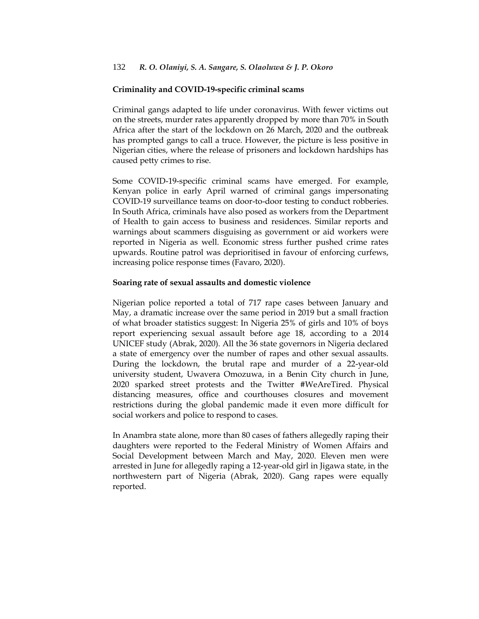#### **Criminality and COVID-19-specific criminal scams**

Criminal gangs adapted to life under coronavirus. With fewer victims out on the streets, murder rates apparently dropped by more than 70% in South Africa after the start of the lockdown on 26 March, 2020 and the outbreak has prompted gangs to call a truce. However, the picture is less positive in Nigerian cities, where the release of prisoners and lockdown hardships has caused petty crimes to rise.

Some COVID-19-specific criminal scams have emerged. For example, Kenyan police in early April warned of criminal gangs impersonating COVID-19 surveillance teams on door-to-door testing to conduct robberies. In South Africa, criminals have also posed as workers from the Department of Health to gain access to business and residences. Similar reports and warnings about scammers disguising as government or aid workers were reported in Nigeria as well. Economic stress further pushed crime rates upwards. Routine patrol was deprioritised in favour of enforcing curfews, increasing police response times (Favaro, 2020).

#### **Soaring rate of sexual assaults and domestic violence**

Nigerian police reported a total of 717 rape cases between January and May, a dramatic increase over the same period in 2019 but a small fraction of what broader statistics suggest: In Nigeria 25% of girls and 10% of boys report experiencing sexual assault before age 18, according to a [2014](https://www.unicef.org/nigeria/child-protection)  [UNICEF study](https://www.unicef.org/nigeria/child-protection) (Abrak, 2020). All the 36 state governors in Nigeria declared a state of emergency over the number of rapes and other sexual assaults. During the lockdown, the brutal rape and murder of a 22-year-old university student, Uwavera Omozuwa, in a Benin City church in June, 2020 sparked street protests and the Twitter [#WeAreTired.](https://twitter.com/hashtag/WeAreTired) Physical distancing measures, office and courthouses closures and movement restrictions during the global pandemic made it even more difficult for social workers and police to respond to cases.

In Anambra state alone, more than 80 cases of fathers allegedly raping their daughters were reported to the Federal Ministry of Women Affairs and Social Development between March and May, 2020. Eleven men were arrested in June for allegedly raping a 12-year-old girl in Jigawa state, in the northwestern part of Nigeria (Abrak, 2020). Gang rapes were equally reported.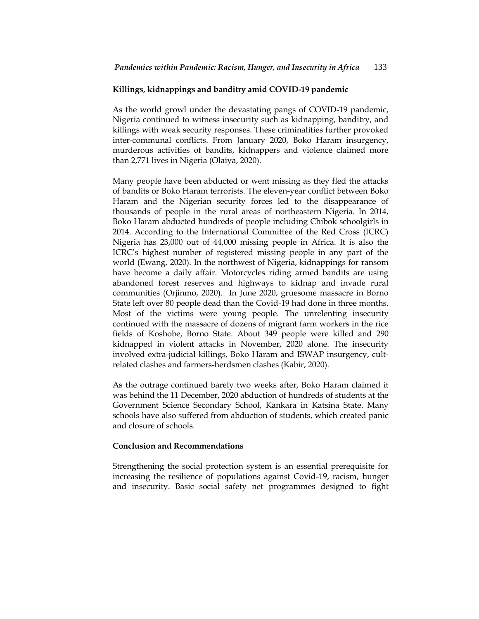#### **Killings, kidnappings and banditry amid COVID-19 pandemic**

As the world growl under the devastating pangs of COVID-19 pandemic, Nigeria continued to witness insecurity such as kidnapping, banditry, and killings with weak security responses. These criminalities further provoked inter-communal conflicts. From January 2020, Boko Haram insurgency, murderous activities of bandits, kidnappers and violence claimed more than 2,771 lives in Nigeria (Olaiya, 2020).

Many people have been abducted or went missing as they fled the attacks of bandits or Boko Haram terrorists. The eleven-year conflict between Boko Haram and the Nigerian security forces led to the disappearance of thousands of people in the rural areas of northeastern Nigeria. In 2014, Boko Haram abducted hundreds of people including Chibok schoolgirls in 2014. According to the International Committee of the Red Cross (ICRC) Nigeria has 23,000 out of 44,000 missing people in Africa. It is also the ICRC's highest number of registered missing people in any part of the world (Ewang, 2020). In the northwest of Nigeria, kidnappings for ransom have become a daily affair. Motorcycles riding armed bandits are using abandoned forest reserves and highways to kidnap and invade rural communities (Orjinmo, 2020). In June 2020, gruesome massacre in Borno State left over 80 people dead than the Covid-19 had done in three months. Most of the victims were young people. The unrelenting insecurity continued with the massacre of dozens of migrant farm workers in the rice fields of Koshobe, Borno State. About 349 people were killed and 290 kidnapped in violent attacks in November, 2020 alone. The insecurity involved extra-judicial killings, Boko Haram and ISWAP insurgency, cultrelated clashes and farmers-herdsmen clashes (Kabir, 2020).

As the outrage continued barely two weeks after, Boko Haram claimed it was behind the 11 December, 2020 abduction of hundreds of students at the Government Science Secondary School, Kankara in Katsina State. Many schools have also suffered from abduction of students, which created panic and closure of schools.

#### **Conclusion and Recommendations**

Strengthening the social protection system is an essential prerequisite for increasing the resilience of populations against Covid-19, racism, hunger and insecurity. Basic social safety net programmes designed to fight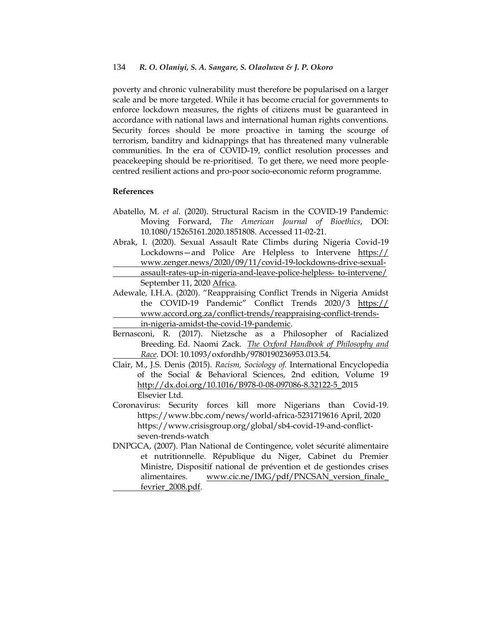poverty and chronic vulnerability must therefore be popularised on a larger scale and be more targeted. While it has become crucial for governments to enforce lockdown measures, the rights of citizens must be guaranteed in accordance with national laws and international human rights conventions. Security forces should be more proactive in taming the scourge of terrorism, banditry and kidnappings that has threatened many vulnerable communities. In the era of COVID-19, conflict resolution processes and peacekeeping should be re-prioritised. To get there, we need more peoplecentred resilient actions and pro-poor socio-economic reform programme.

## **References**

- Abatello, M. *et al.* (2020). Structural Racism in the COVID-19 Pandemic: Moving Forward, *The American Journal of Bioethics*, DOI: 10.1080/15265161.2020.1851808. Accessed 11-02-21.
- [Abrak, I](https://www.zenger.news/author/isaaclinusgmail-com/). (2020). Sexual Assault Rate Climbs during Nigeria Covid-19 Lockdowns—and Police Are Helpless to Intervene https:// www.zenger.news/2020/09/11/covid-19-lockdowns-drive-sexualassault-rates-up-in-nigeria-and-leave-police-helpless- to-intervene/ September 11, 202[0 Africa.](https://www.zenger.news/category/world/africa/)
- Adewale, I.H.A. (2020). "Reappraising Conflict Trends in Nigeria Amidst the COVID-19 Pandemic‖ Conflict Trends 2020/3 https:// www.accord.org.za/conflict-trends/reappraising-conflict-trendsin-nigeria-amidst-the-covid-19-pandemic.
- Bernasconi, R. (2017). Nietzsche as a Philosopher of Racialized Breeding. Ed. Naomi Zack. *[The Oxford Handbook of Philosophy and](https://www.oxfordhandbooks.com/view/10.1093/oxfordhb/9780190236953.001.0001/oxfordhb-9780190236953) [Race.](https://www.oxfordhandbooks.com/view/10.1093/oxfordhb/9780190236953.001.0001/oxfordhb-9780190236953)* DOI: 10.1093/oxfordhb/9780190236953.013.54.
- Clair, M., J.S. Denis (2015). *Racism, Sociology of.* International Encyclopedia of the Social & Behavioral Sciences, 2nd edition, Volume 19 [http://dx.doi.org/10.1016/B978-0-08-097086-8.32122-5\\_2](http://dx.doi.org/10.1016/B978-0-08-097086-8.32122-5_)015 Elsevier Ltd.
- Coronavirus: Security forces kill more Nigerians than Covid-19. [https://www.bbc.com/news/world-africa-523171961](https://www.bbc.com/news/world-africa-52317196)6 April, 2020 [https://www.crisisgroup.org/global/sb4-covid-19-and-conflict](https://www.crisisgroup.org/global/sb4-covid-19-and-conflict-seven-trends-watch)[seven-trends-watch](https://www.crisisgroup.org/global/sb4-covid-19-and-conflict-seven-trends-watch)
- DNPGCA, (2007). Plan National de Contingence, volet sécurité alimentaire et nutritionnelle. République du Niger, Cabinet du Premier Ministre, Dispositif national de prévention et de gestiondes crises alimentaires. [www.cic.ne/IMG/pdf/PNCSAN\\_version\\_finale\\_](http://www.cic.ne/IMG/pdf/PNCSAN_version_finale_%20fevrier_2008.pdf)  [fevrier\\_2008.pdf.](http://www.cic.ne/IMG/pdf/PNCSAN_version_finale_%20fevrier_2008.pdf)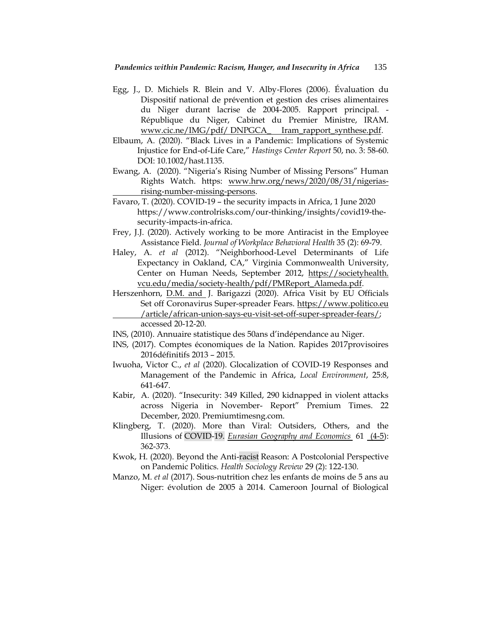- Egg, J., D. Michiels R. Blein and V. Alby-Flores (2006). Évaluation du Dispositif national de prévention et gestion des crises alimentaires du Niger durant lacrise de 2004-2005. Rapport principal. - République du Niger, Cabinet du Premier Ministre, IRAM. [www.cic.ne/IMG/pdf/ DNPGCA\\_ Iram\\_rapport\\_synthese.pdf.](http://www.cic.ne/IMG/pdf/%20DNPGCA_%20Iram_rapport_synthese.pdf)
- Elbaum, A. (2020). "Black Lives in a Pandemic: Implications of Systemic Injustice for End-of-Life Care,‖ *Hastings Center Report* 50, no. 3: 58-60. DOI: 10.1002/hast.1135.
- Ewang, A. (2020). "Nigeria's Rising Number of Missing Persons" Human Rights Watch. https: [www.hrw.org/news/2020/08/31/nigerias](http://www.hrw.org/news/2020/08/31/nigerias-rising-number-missing-persons)[rising-number-missing-persons.](http://www.hrw.org/news/2020/08/31/nigerias-rising-number-missing-persons)
- Favaro, T. (2020). COVID-19 the security impacts in Africa, 1 June 2020 https://www.controlrisks.com/our-thinking/insights/covid19-thesecurity-impacts-in-africa.
- Frey, J.J. (2020). Actively working to be more Antiracist in the Employee Assistance Field. *Journal of Workplace Behavioral Health* 35 (2): 69-79.
- Haley, A. *et al* (2012). "Neighborhood-Level Determinants of Life Expectancy in Oakland, CA," Virginia Commonwealth University, Center on Human Needs, September 2012, https://societyhealth. vcu.edu/media/society-health/pdf/PMReport\_Alameda.pdf.
- Herszenhorn, [D.M. and](https://www.politico.eu/author/david-herszenhorn/) J. Barigazzi (2020). Africa Visit by EU Officials Set off Coronavirus Super-spreader Fears. https://www.politico.eu /article/african-union-says-eu-visit-set-off-super-spreader-fears/; accessed 20-12-20.
- INS, (2010). Annuaire statistique des 50ans d'indépendance au Niger.
- INS, (2017). Comptes économiques de la Nation. Rapides 2017provisoires 2016définitifs 2013 – 2015.
- Iwuoha, Victor C., *et al* (2020). Glocalization of COVID-19 Responses and Management of the Pandemic in Africa, *Local Environment*, 25:8, 641-647.
- Kabir, A. (2020). "Insecurity: 349 Killed, 290 kidnapped in violent attacks across Nigeria in November- Report" Premium Times. 22 December, 2020. Premiumtimesng.com.
- Klingberg, T. (2020). More than Viral: Outsiders, Others, and the Illusions of COVID-19. *[Eurasian Geography and Economics](https://0-www-tandfonline-com.innopac.wits.ac.za/toc/rege20/current)* 61 [\(4-5\)](https://0-www-tandfonline-com.innopac.wits.ac.za/toc/rege20/61/4-5): 362-373.
- Kwok, H. (2020). Beyond the Anti-racist Reason: A Postcolonial Perspective on Pandemic Politics. *Health Sociology Review* 29 (2): 122-130.
- Manzo, M. *et al* (2017). Sous-nutrition chez les enfants de moins de 5 ans au Niger: évolution de 2005 à 2014. Cameroon Journal of Biological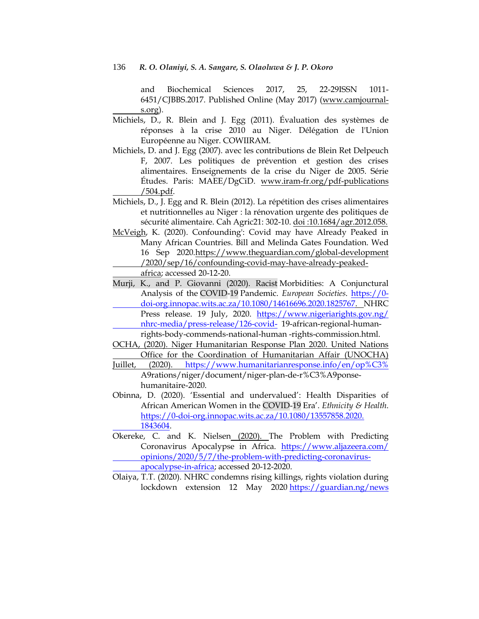and Biochemical Sciences 2017, 25, 22-29ISSN 1011- 6451/CJBBS.2017. Published Online (May 2017) (www.camjournals.org).

- Michiels, D., R. Blein and J. Egg (2011). Évaluation des systèmes de réponses à la crise 2010 au Niger. Délégation de l'Union Européenne au Niger. COWIIRAM.
- Michiels, D. and J. Egg (2007). avec les contributions de Blein Ret Delpeuch F, 2007. Les politiques de prévention et gestion des crises alimentaires. Enseignements de la crise du Niger de 2005. Série Études. Paris: MAEE/DgCiD. [www.iram-fr.org/pdf-publications](http://www.iram-fr.org/pdf-publications%20/504.pdf)  [/504.pdf.](http://www.iram-fr.org/pdf-publications%20/504.pdf)
- Michiels, D., J. Egg and R. Blein (2012). La répétition des crises alimentaires et nutritionnelles au Niger : la rénovation urgente des politiques de sécurité alimentaire. Cah Agric21: 302-10. doi :10.1684/agr.2012.058.
- [McVeigh,](https://www.theguardian.com/profile/karenmcveigh) K. (2020). Confounding': Covid may have Already Peaked in Many African Countries. Bill and Melinda Gates Foundation. Wed 16 Sep 202[0.https://www.theguardian.com/global-development](https://www.theguardian.com/global-development%20/2020/sep/16/confounding-covid-may-have-already-peaked-africa)  [/2020/sep/16/confounding-covid-may-have-already-peaked](https://www.theguardian.com/global-development%20/2020/sep/16/confounding-covid-may-have-already-peaked-africa)[africa;](https://www.theguardian.com/global-development%20/2020/sep/16/confounding-covid-may-have-already-peaked-africa) accessed 20-12-20.
- Murji, K., and P. Giovanni (2020). Racist Morbidities: A Conjunctural Analysis of the COVID-19 Pandemic. *European Societies*. https://0 doi-org.innopac.wits.ac.za/10.1080/14616696.2020.1825767. NHRC Press release. 19 July, 2020. [https://www.nigeriarights.gov.ng/](https://www.nigeriarights.gov.ng/%20nhrc-media/press-release/126-covid-)  [nhrc-media/press-release/126-covid-](https://www.nigeriarights.gov.ng/%20nhrc-media/press-release/126-covid-) 19-african-regional-humanrights-body-commends-national-human -rights-commission.html.
- OCHA, (2020). Niger Humanitarian Response Plan 2020. United Nations Office for the Coordination of Humanitarian Affair (UNOCHA)
- Juillet, (2020). [https://www.humanitarianresponse.info/en/op%C3%](https://www.humanitarianresponse.info/en/op%C3%25) A9rations/niger/document/niger-plan-de-r%C3%A9ponsehumanitaire-2020.
- Obinna, D. (2020). ‗Essential and undervalued': Health Disparities of African American Women in the COVID-19 Era'. *Ethnicity & Health*. [https://0-doi-org.innopac.wits.ac.za/10.1080/13557858.2020.](https://0-doi-org.innopac.wits.ac.za/10.1080/13557858.2020.%201843604)  [1843604.](https://0-doi-org.innopac.wits.ac.za/10.1080/13557858.2020.%201843604)
- Okereke, C. and K. Nielsen [\(2020\). T](https://www.aljazeera.com/author/kelsey_nielsen_200505105815551)he Problem with Predicting Coronavirus Apocalypse in Africa. https://www.aljazeera.com/ [opinions/2020/5/7/the-problem-with-predicting-coronavirus](https://www.aljazeera.com/%20opinions/2020/5/7/the-problem-with-predicting-coronavirus-apocalypse-in-africa)[apocalypse-in-africa;](https://www.aljazeera.com/%20opinions/2020/5/7/the-problem-with-predicting-coronavirus-apocalypse-in-africa) accessed 20-12-2020.
- Olaiya, T.T. (2020). NHRC condemns rising killings, rights violation during lockdown extension 12 May 2020 [https://guardian.ng/news](https://guardian.ng/news%20/nhrc-condemns-rising-killings-rights-violation-during-lockdown-extension/)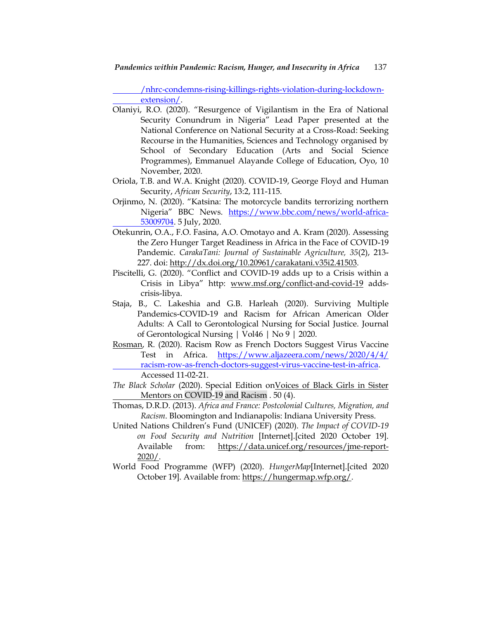[/nhrc-condemns-rising-killings-rights-violation-during-lockdown](https://guardian.ng/news%20/nhrc-condemns-rising-killings-rights-violation-during-lockdown-extension/)[extension/.](https://guardian.ng/news%20/nhrc-condemns-rising-killings-rights-violation-during-lockdown-extension/)

- Olaniyi, R.O. (2020). "Resurgence of Vigilantism in the Era of National Security Conundrum in Nigeria" Lead Paper presented at the National Conference on National Security at a Cross-Road: Seeking Recourse in the Humanities, Sciences and Technology organised by School of Secondary Education (Arts and Social Science Programmes), Emmanuel Alayande College of Education, Oyo, 10 November, 2020.
- Oriola, T.B. and W.A. Knight (2020). COVID-19, George Floyd and Human Security, *African Security*, 13:2, 111-115.
- Orjinmo, N. (2020). "Katsina: The motorcycle bandits terrorizing northern Nigeria<sup>"</sup> BBC News. [https://www.bbc.com/news/world-africa-](https://www.bbc.com/news/world-africa-53009704)[53009704.](https://www.bbc.com/news/world-africa-53009704) 5 July, 2020.
- Otekunrin, O.A., F.O. Fasina, A.O. Omotayo and A. Kram (2020). Assessing the Zero Hunger Target Readiness in Africa in the Face of COVID-19 Pandemic. *CarakaTani: Journal of Sustainable Agriculture, 35*(2), 213- 227. doi: [http://dx.doi.org/10.20961/carakatani.v35i2.41503.](http://dx.doi.org/10.20961/carakatani.v35i2.41503)
- Piscitelli, G. (2020). "Conflict and COVID-19 adds up to a Crisis within a Crisis in Libya" http: [www.msf.org/conflict-and-covid-19](http://www.msf.org/conflict-and-covid-19) addscrisis-libya.
- Staja, B., C. Lakeshia and G.B. Harleah (2020). Surviving Multiple Pandemics-COVID-19 and Racism for African American Older Adults: A Call to Gerontological Nursing for Social Justice. Journal of Gerontological Nursing | Vol46 | No 9 | 2020.
- [Rosman,](https://www.aljazeera.com/author/rebecca_rosman_151115051509649) R. (2020). Racism Row as French Doctors Suggest Virus Vaccine Test in Africa. [https://www.aljazeera.com/news/2020/4/4/](https://www.aljazeera.com/news/2020/4/4/%20racism-row-as-french-doctors-suggest-virus-vaccine-test-in-africa)  [racism-row-as-french-doctors-suggest-virus-vaccine-test-in-africa.](https://www.aljazeera.com/news/2020/4/4/%20racism-row-as-french-doctors-suggest-virus-vaccine-test-in-africa) Accessed 11-02-21.
- *The Black Scholar* (2020). Special Edition o[nVoices of Black Girls in Sister](https://0-www-tandfonline-com.innopac.wits.ac.za/doi/full/10.1080/00064246.2020.1816034)  [Mentors on](https://0-www-tandfonline-com.innopac.wits.ac.za/doi/full/10.1080/00064246.2020.1816034) COVID-19 and Racism . 50 (4).
- Thomas, D.R.D. (2013). *Africa and France: Postcolonial Cultures, Migration, and Racism*. Bloomington and Indianapolis: Indiana University Press.
- United Nations Children's Fund (UNICEF) (2020). *The Impact of COVID-19 on Food Security and Nutrition* [Internet].[cited 2020 October 19]. Available from: [https://data.unicef.org/resources/jme-report-](https://data.unicef.org/resources/jme-report-2020/)[2020/.](https://data.unicef.org/resources/jme-report-2020/)
- World Food Programme (WFP) (2020). *HungerMap*[Internet].[cited 2020 October 19]. Available from[: https://hungermap.wfp.org/.](https://hungermap.wfp.org/)